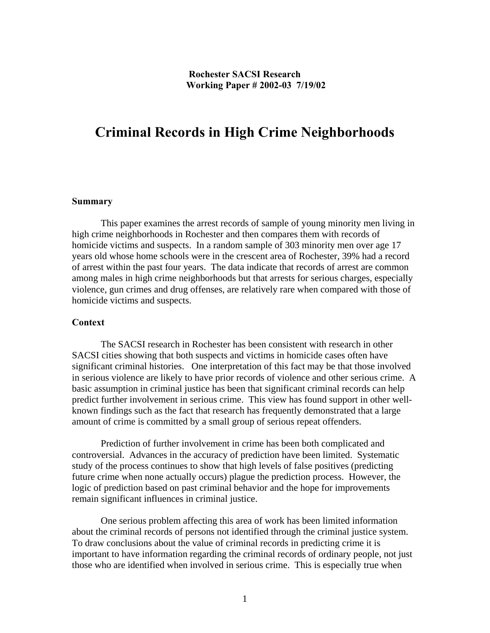## **Rochester SACSI Research Working Paper # 2002-03 7/19/02**

# **Criminal Records in High Crime Neighborhoods**

#### **Summary**

 This paper examines the arrest records of sample of young minority men living in high crime neighborhoods in Rochester and then compares them with records of homicide victims and suspects. In a random sample of 303 minority men over age 17 years old whose home schools were in the crescent area of Rochester, 39% had a record of arrest within the past four years. The data indicate that records of arrest are common among males in high crime neighborhoods but that arrests for serious charges, especially violence, gun crimes and drug offenses, are relatively rare when compared with those of homicide victims and suspects.

#### **Context**

The SACSI research in Rochester has been consistent with research in other SACSI cities showing that both suspects and victims in homicide cases often have significant criminal histories. One interpretation of this fact may be that those involved in serious violence are likely to have prior records of violence and other serious crime. A basic assumption in criminal justice has been that significant criminal records can help predict further involvement in serious crime. This view has found support in other wellknown findings such as the fact that research has frequently demonstrated that a large amount of crime is committed by a small group of serious repeat offenders.

Prediction of further involvement in crime has been both complicated and controversial. Advances in the accuracy of prediction have been limited. Systematic study of the process continues to show that high levels of false positives (predicting future crime when none actually occurs) plague the prediction process. However, the logic of prediction based on past criminal behavior and the hope for improvements remain significant influences in criminal justice.

One serious problem affecting this area of work has been limited information about the criminal records of persons not identified through the criminal justice system. To draw conclusions about the value of criminal records in predicting crime it is important to have information regarding the criminal records of ordinary people, not just those who are identified when involved in serious crime. This is especially true when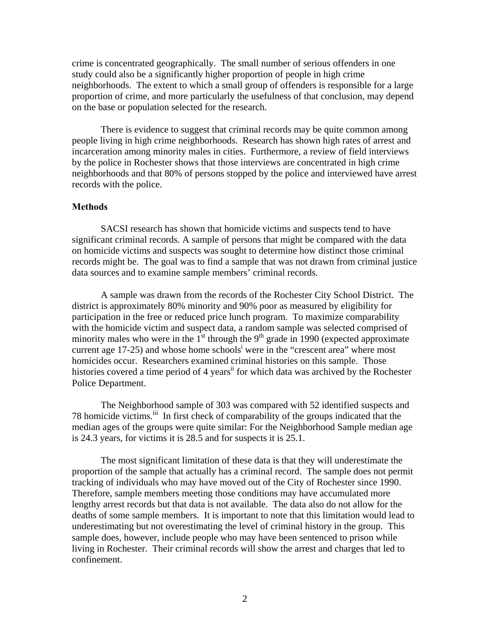crime is concentrated geographically. The small number of serious offenders in one study could also be a significantly higher proportion of people in high crime neighborhoods. The extent to which a small group of offenders is responsible for a large proportion of crime, and more particularly the usefulness of that conclusion, may depend on the base or population selected for the research.

There is evidence to suggest that criminal records may be quite common among people living in high crime neighborhoods. Research has shown high rates of arrest and incarceration among minority males in cities. Furthermore, a review of field interviews by the police in Rochester shows that those interviews are concentrated in high crime neighborhoods and that 80% of persons stopped by the police and interviewed have arrest records with the police.

### **Methods**

SACSI research has shown that homicide victims and suspects tend to have significant criminal records. A sample of persons that might be compared with the data on homicide victims and suspects was sought to determine how distinct those criminal records might be. The goal was to find a sample that was not drawn from criminal justice data sources and to examine sample members' criminal records.

A sample was drawn from the records of the Rochester City School District. The district is approximately 80% minority and 90% poor as measured by eligibility for participation in the free or reduced price lunch program. To maximize comparability with the homicide victim and suspect data, a random sample was selected comprised of minority males who were in the  $1<sup>st</sup>$  through the 9<sup>th</sup> grade in 1990 (expected approximate current age  $17-25$ ) and whose home schools<sup>i</sup> were in the "crescent area" where most homicides occur. Researchers examined criminal histories on this sample. Those histories covered a time period of 4 years<sup>ii</sup> for which data was archived by the Rochester Police Department.

The Neighborhood sample of 303 was compared with 52 identified suspects and 78 homicide victims.<sup>iii</sup> In first check of comparability of the groups indicated that the median ages of the groups were quite similar: For the Neighborhood Sample median age is 24.3 years, for victims it is 28.5 and for suspects it is 25.1.

The most significant limitation of these data is that they will underestimate the proportion of the sample that actually has a criminal record. The sample does not permit tracking of individuals who may have moved out of the City of Rochester since 1990. Therefore, sample members meeting those conditions may have accumulated more lengthy arrest records but that data is not available. The data also do not allow for the deaths of some sample members. It is important to note that this limitation would lead to underestimating but not overestimating the level of criminal history in the group. This sample does, however, include people who may have been sentenced to prison while living in Rochester. Their criminal records will show the arrest and charges that led to confinement.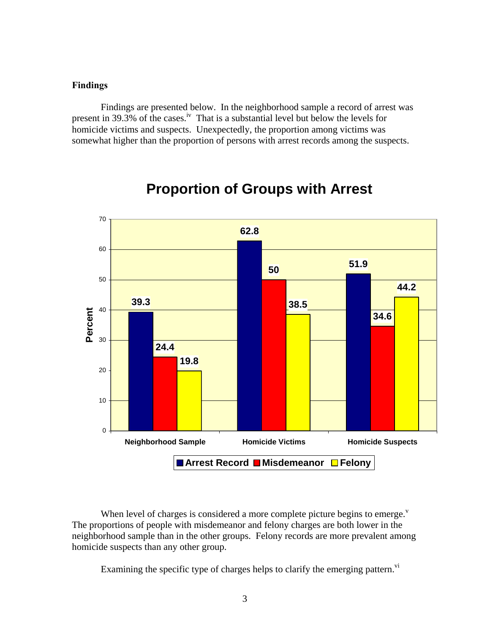### **Findings**

Findings are presented below. In the neighborhood sample a record of arrest was present in 39.3% of the cases.iv That is a substantial level but below the levels for homicide victims and suspects. Unexpectedly, the proportion among victims was somewhat higher than the proportion of persons with arrest records among the suspects.



# **Proportion of Groups with Arrest**

When level of charges is considered a more complete picture begins to emerge.<sup>v</sup> The proportions of people with misdemeanor and felony charges are both lower in the neighborhood sample than in the other groups. Felony records are more prevalent among homicide suspects than any other group.

Examining the specific type of charges helps to clarify the emerging pattern.<sup>vi</sup>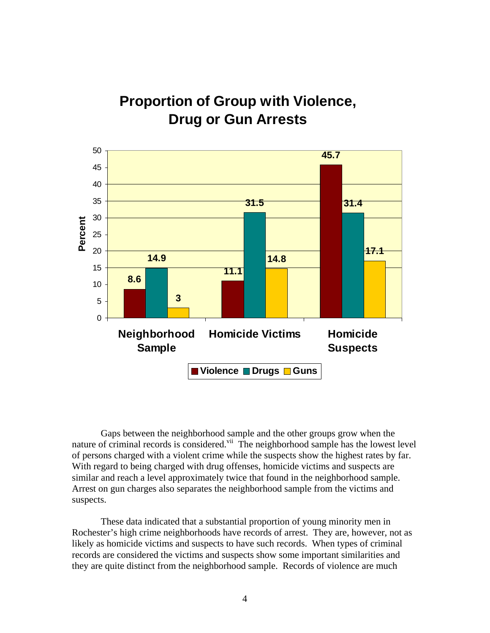# **Proportion of Group with Violence, Drug or Gun Arrests**



Gaps between the neighborhood sample and the other groups grow when the nature of criminal records is considered.<sup>vii</sup> The neighborhood sample has the lowest level of persons charged with a violent crime while the suspects show the highest rates by far. With regard to being charged with drug offenses, homicide victims and suspects are similar and reach a level approximately twice that found in the neighborhood sample. Arrest on gun charges also separates the neighborhood sample from the victims and suspects.

These data indicated that a substantial proportion of young minority men in Rochester's high crime neighborhoods have records of arrest. They are, however, not as likely as homicide victims and suspects to have such records. When types of criminal records are considered the victims and suspects show some important similarities and they are quite distinct from the neighborhood sample. Records of violence are much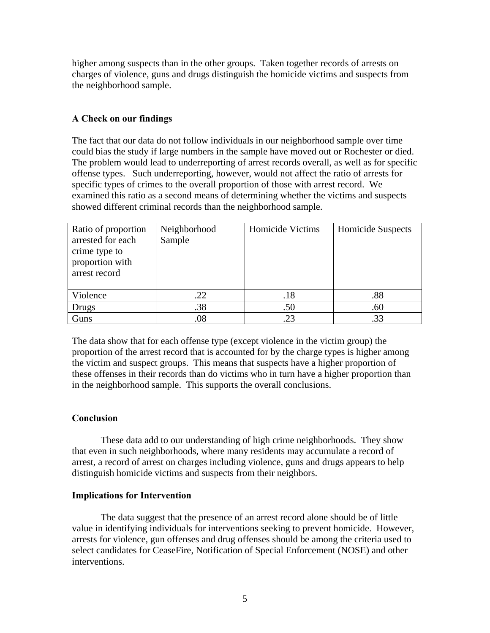higher among suspects than in the other groups. Taken together records of arrests on charges of violence, guns and drugs distinguish the homicide victims and suspects from the neighborhood sample.

# **A Check on our findings**

The fact that our data do not follow individuals in our neighborhood sample over time could bias the study if large numbers in the sample have moved out or Rochester or died. The problem would lead to underreporting of arrest records overall, as well as for specific offense types. Such underreporting, however, would not affect the ratio of arrests for specific types of crimes to the overall proportion of those with arrest record. We examined this ratio as a second means of determining whether the victims and suspects showed different criminal records than the neighborhood sample.

| Ratio of proportion<br>arrested for each<br>crime type to<br>proportion with<br>arrest record | Neighborhood<br>Sample | Homicide Victims | Homicide Suspects |
|-----------------------------------------------------------------------------------------------|------------------------|------------------|-------------------|
| Violence                                                                                      | .22                    | .18              | .88               |
| Drugs                                                                                         | .38                    | .50              | .60               |
| Guns                                                                                          | .08                    | .23              | .33               |

The data show that for each offense type (except violence in the victim group) the proportion of the arrest record that is accounted for by the charge types is higher among the victim and suspect groups. This means that suspects have a higher proportion of these offenses in their records than do victims who in turn have a higher proportion than in the neighborhood sample. This supports the overall conclusions.

### **Conclusion**

 These data add to our understanding of high crime neighborhoods. They show that even in such neighborhoods, where many residents may accumulate a record of arrest, a record of arrest on charges including violence, guns and drugs appears to help distinguish homicide victims and suspects from their neighbors.

### **Implications for Intervention**

 The data suggest that the presence of an arrest record alone should be of little value in identifying individuals for interventions seeking to prevent homicide. However, arrests for violence, gun offenses and drug offenses should be among the criteria used to select candidates for CeaseFire, Notification of Special Enforcement (NOSE) and other interventions.